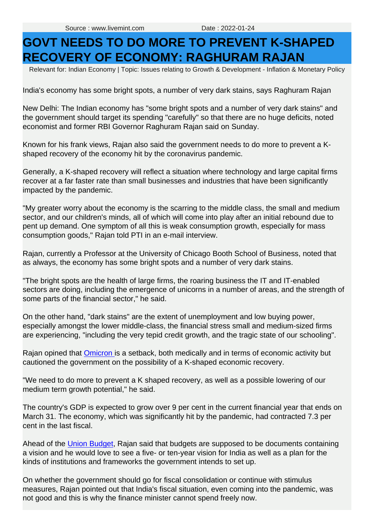## **GOVT NEEDS TO DO MORE TO PREVENT K-SHAPED RECOVERY OF ECONOMY: RAGHURAM RAJAN**

Relevant for: Indian Economy | Topic: Issues relating to Growth & Development - Inflation & Monetary Policy

India's economy has some bright spots, a number of very dark stains, says Raghuram Rajan

New Delhi: The Indian economy has "some bright spots and a number of very dark stains" and the government should target its spending "carefully" so that there are no huge deficits, noted economist and former RBI Governor Raghuram Rajan said on Sunday.

Known for his frank views, Rajan also said the government needs to do more to prevent a Kshaped recovery of the economy hit by the coronavirus pandemic.

Generally, a K-shaped recovery will reflect a situation where technology and large capital firms recover at a far faster rate than small businesses and industries that have been significantly impacted by the pandemic.

New Delhi: The Indi[a](https://www.livemint.com/news/india/night-curfew-to-sunday-lockdown-these-states-continue-covid-curbs-delhi-uttar-pradeshkarnatakakeralaharyanagujaratbihar-11642898670458.html)n economy has "some bright spots and a number of very dark stains" and<br>the government should target its spending "carelully" so that there are no huge deficits, noted<br>economist and former RBI Governor R "My greater worry about the economy is the scarring to the middle class, the small and medium sector, and our children's minds, all of which will come into play after an initial rebound due to pent up demand. One symptom of all this is weak consumption growth, especially for mass consumption goods," Rajan told PTI in an e-mail interview.

Rajan, currently a Professor at the University of Chicago Booth School of Business, noted that as always, the economy has some bright spots and a number of very dark stains.

"The bright spots are the health of large firms, the roaring business the IT and IT-enabled sectors are doing, including the emergence of unicorns in a number of areas, and the strength of some parts of the financial sector," he said.

On the other hand, "dark stains" are the extent of unemployment and low buying power, especially amongst the lower middle-class, the financial stress small and medium-sized firms are experiencing, "including the very tepid credit growth, and the tragic state of our schooling".

Rajan opined that Omicron is a setback, both medically and in terms of economic activity but cautioned the government on the possibility of a K-shaped economic recovery.

"We need to do more to prevent a K shaped recovery, as well as a possible lowering of our medium term growth potential," he said.

The country's GDP is expected to grow over 9 per cent in the current financial year that ends on March 31. The economy, which was significantly hit by the pandemic, had contracted 7.3 per cent in the last fiscal.

Ahead of the [Union Budget](https://www.livemint.com/budget), Rajan said that budgets are supposed to be documents containing a vision and he would love to see a five- or ten-year vision for India as well as a plan for the kinds of institutions and frameworks the government intends to set up.

On whether the government should go for fiscal consolidation or continue with stimulus measures, Rajan pointed out that India's fiscal situation, even coming into the pandemic, was not good and this is why the finance minister cannot spend freely now.